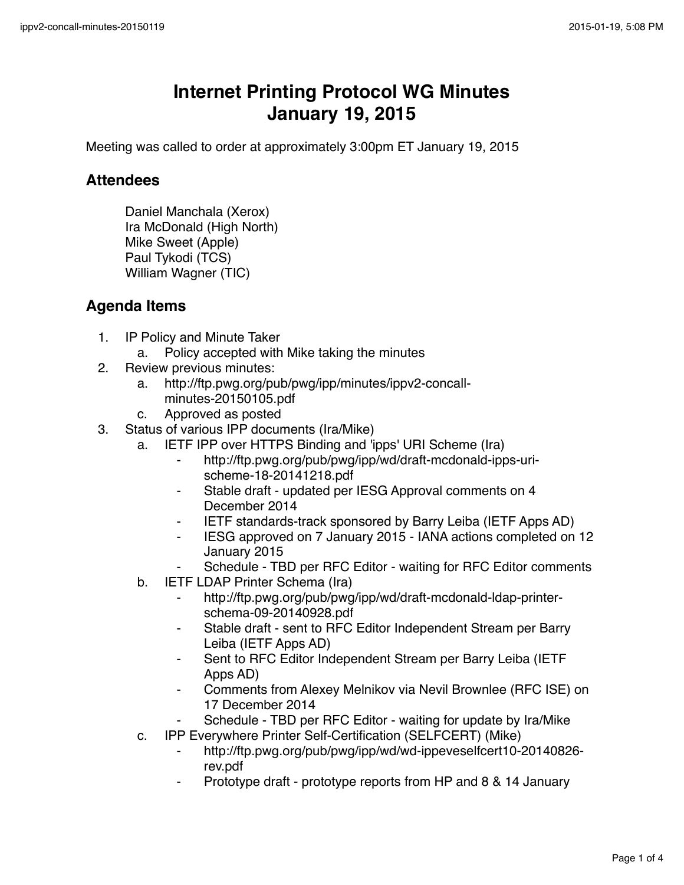## **Internet Printing Protocol WG Minutes January 19, 2015**

Meeting was called to order at approximately 3:00pm ET January 19, 2015

## **Attendees**

Daniel Manchala (Xerox) Ira McDonald (High North) Mike Sweet (Apple) Paul Tykodi (TCS) William Wagner (TIC)

## **Agenda Items**

- 1. IP Policy and Minute Taker
	- a. Policy accepted with Mike taking the minutes
- 2. Review previous minutes:
	- a. http://ftp.pwg.org/pub/pwg/ipp/minutes/ippv2-concallminutes-20150105.pdf
	- c. Approved as posted
- 3. Status of various IPP documents (Ira/Mike)
	- a. IETF IPP over HTTPS Binding and 'ipps' URI Scheme (Ira)
		- http://ftp.pwg.org/pub/pwg/ipp/wd/draft-mcdonald-ipps-urischeme-18-20141218.pdf
		- ⁃ Stable draft updated per IESG Approval comments on 4 December 2014
		- ⁃ IETF standards-track sponsored by Barry Leiba (IETF Apps AD)
		- ⁃ IESG approved on 7 January 2015 IANA actions completed on 12 January 2015
		- Schedule TBD per RFC Editor waiting for RFC Editor comments
	- b. IETF LDAP Printer Schema (Ira)
		- http://ftp.pwg.org/pub/pwg/ipp/wd/draft-mcdonald-ldap-printerschema-09-20140928.pdf
		- ⁃ Stable draft sent to RFC Editor Independent Stream per Barry Leiba (IETF Apps AD)
		- Sent to RFC Editor Independent Stream per Barry Leiba (IETF Apps AD)
		- Comments from Alexey Melnikov via Nevil Brownlee (RFC ISE) on 17 December 2014
		- Schedule TBD per RFC Editor waiting for update by Ira/Mike
	- c. IPP Everywhere Printer Self-Certification (SELFCERT) (Mike)
		- ⁃ http://ftp.pwg.org/pub/pwg/ipp/wd/wd-ippeveselfcert10-20140826 rev.pdf
		- Prototype draft prototype reports from HP and 8 & 14 January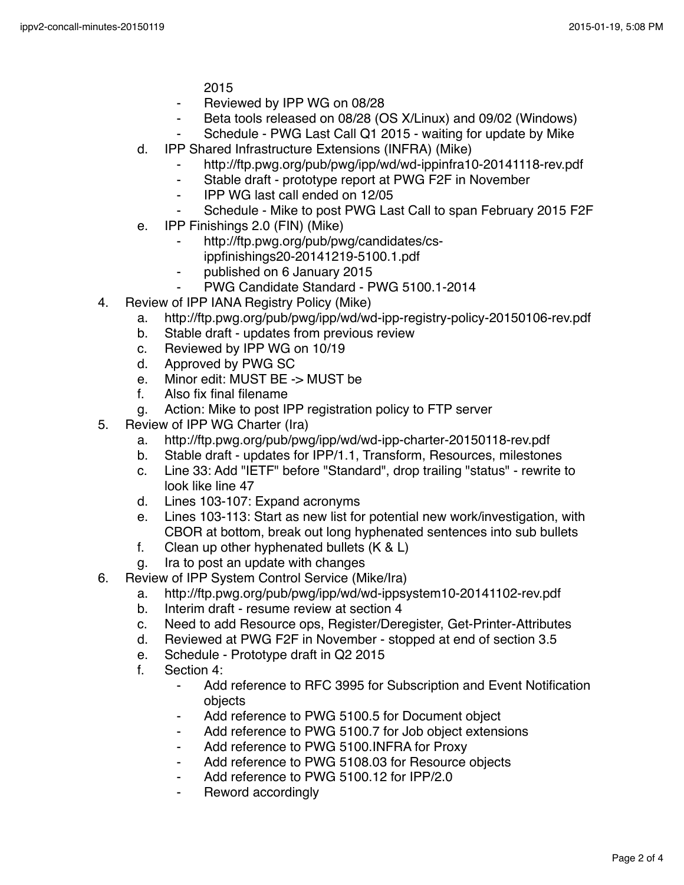2015

- ⁃ Reviewed by IPP WG on 08/28
- ⁃ Beta tools released on 08/28 (OS X/Linux) and 09/02 (Windows)
- Schedule PWG Last Call Q1 2015 waiting for update by Mike
- d. IPP Shared Infrastructure Extensions (INFRA) (Mike)
	- http://ftp.pwg.org/pub/pwg/ipp/wd/wd-ippinfra10-20141118-rev.pdf
	- ⁃ Stable draft prototype report at PWG F2F in November
	- ⁃ IPP WG last call ended on 12/05
	- Schedule Mike to post PWG Last Call to span February 2015 F2F
- e. IPP Finishings 2.0 (FIN) (Mike)
	- http://ftp.pwg.org/pub/pwg/candidates/cs-
	- ippfinishings20-20141219-5100.1.pdf
	- published on 6 January 2015
	- PWG Candidate Standard PWG 5100.1-2014
- 4. Review of IPP IANA Registry Policy (Mike)
	- a. http://ftp.pwg.org/pub/pwg/ipp/wd/wd-ipp-registry-policy-20150106-rev.pdf
	- b. Stable draft updates from previous review
	- c. Reviewed by IPP WG on 10/19
	- d. Approved by PWG SC
	- e. Minor edit: MUST BE -> MUST be
	- f. Also fix final filename
	- g. Action: Mike to post IPP registration policy to FTP server
- 5. Review of IPP WG Charter (Ira)
	- a. http://ftp.pwg.org/pub/pwg/ipp/wd/wd-ipp-charter-20150118-rev.pdf
	- b. Stable draft updates for IPP/1.1, Transform, Resources, milestones
	- c. Line 33: Add "IETF" before "Standard", drop trailing "status" rewrite to look like line 47
	- d. Lines 103-107: Expand acronyms
	- e. Lines 103-113: Start as new list for potential new work/investigation, with CBOR at bottom, break out long hyphenated sentences into sub bullets
	- f. Clean up other hyphenated bullets (K & L)
	- g. Ira to post an update with changes
- 6. Review of IPP System Control Service (Mike/Ira)
	- a. http://ftp.pwg.org/pub/pwg/ipp/wd/wd-ippsystem10-20141102-rev.pdf
	- b. Interim draft resume review at section 4
	- c. Need to add Resource ops, Register/Deregister, Get-Printer-Attributes
	- d. Reviewed at PWG F2F in November stopped at end of section 3.5
	- e. Schedule Prototype draft in Q2 2015
	- f. Section 4:
		- Add reference to RFC 3995 for Subscription and Event Notification objects
		- ⁃ Add reference to PWG 5100.5 for Document object
		- Add reference to PWG 5100.7 for Job object extensions
		- Add reference to PWG 5100.INFRA for Proxy
		- ⁃ Add reference to PWG 5108.03 for Resource objects
		- Add reference to PWG 5100.12 for IPP/2.0
		- Reword accordingly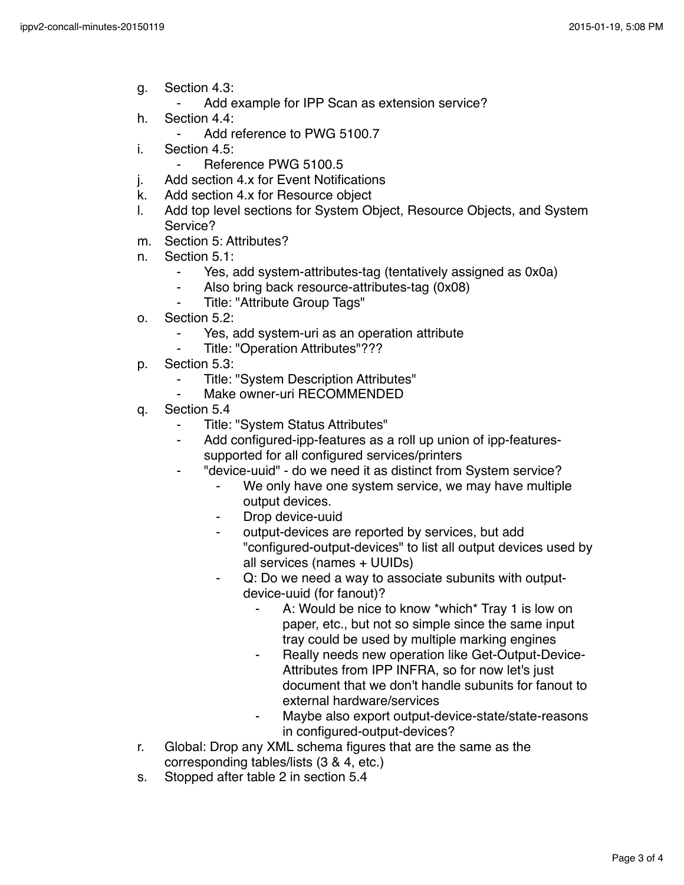- g. Section 4.3:
	- ⁃ Add example for IPP Scan as extension service?
- h. Section 4.4:
	- Add reference to PWG 5100.7
- i. Section 4.5:
	- ⁃ Reference PWG 5100.5
- j. Add section 4.x for Event Notifications
- k. Add section 4.x for Resource object
- l. Add top level sections for System Object, Resource Objects, and System Service?
- m. Section 5: Attributes?
- n. Section 5.1:
	- Yes, add system-attributes-tag (tentatively assigned as 0x0a)
	- ⁃ Also bring back resource-attributes-tag (0x08)
	- Title: "Attribute Group Tags"
- o. Section 5.2:
	- Yes, add system-uri as an operation attribute
	- Title: "Operation Attributes"???
- p. Section 5.3:
	- ⁃ Title: "System Description Attributes"
	- Make owner-uri RECOMMENDED
- q. Section 5.4
	- Title: "System Status Attributes"
	- ⁃ Add configured-ipp-features as a roll up union of ipp-featuressupported for all configured services/printers
	- "device-uuid" do we need it as distinct from System service?
		- ⁃ We only have one system service, we may have multiple output devices.
		- Drop device-uuid
		- output-devices are reported by services, but add "configured-output-devices" to list all output devices used by all services (names + UUIDs)
		- Q: Do we need a way to associate subunits with outputdevice-uuid (for fanout)?
			- A: Would be nice to know \*which\* Tray 1 is low on paper, etc., but not so simple since the same input tray could be used by multiple marking engines
			- ⁃ Really needs new operation like Get-Output-Device-Attributes from IPP INFRA, so for now let's just document that we don't handle subunits for fanout to external hardware/services
			- Maybe also export output-device-state/state-reasons in configured-output-devices?
- r. Global: Drop any XML schema figures that are the same as the corresponding tables/lists (3 & 4, etc.)
- s. Stopped after table 2 in section 5.4